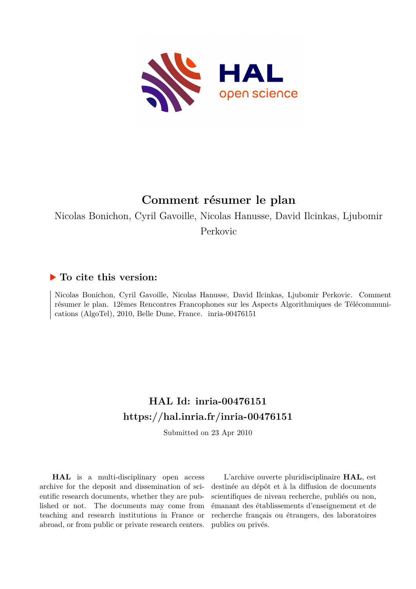

## **Comment résumer le plan**

Nicolas Bonichon, Cyril Gavoille, Nicolas Hanusse, David Ilcinkas, Ljubomir Perkovic

### **To cite this version:**

Nicolas Bonichon, Cyril Gavoille, Nicolas Hanusse, David Ilcinkas, Ljubomir Perkovic. Comment résumer le plan. 12èmes Rencontres Francophones sur les Aspects Algorithmiques de Télécommunications (AlgoTel), 2010, Belle Dune, France. inria-00476151

## **HAL Id: inria-00476151 <https://hal.inria.fr/inria-00476151>**

Submitted on 23 Apr 2010

**HAL** is a multi-disciplinary open access archive for the deposit and dissemination of scientific research documents, whether they are published or not. The documents may come from teaching and research institutions in France or abroad, or from public or private research centers.

L'archive ouverte pluridisciplinaire **HAL**, est destinée au dépôt et à la diffusion de documents scientifiques de niveau recherche, publiés ou non, émanant des établissements d'enseignement et de recherche français ou étrangers, des laboratoires publics ou privés.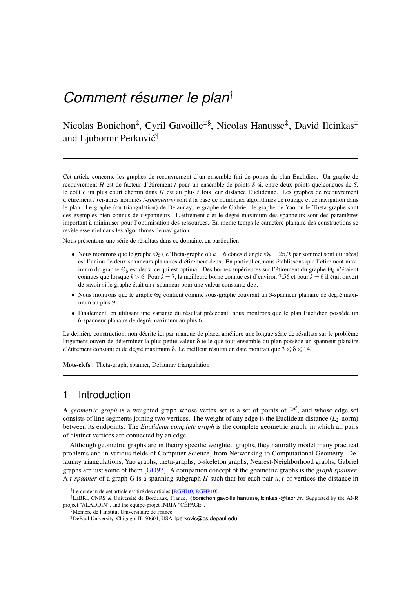# *Comment résumer le plan*†

## Nicolas Bonichon<sup>‡</sup>, Cyril Gavoille<sup>‡§</sup>, Nicolas Hanusse<sup>‡</sup>, David Ilcinkas<sup>‡</sup> and Ljubomir Perković<sup>¶</sup>

Cet article concerne les graphes de recouvrement d'un ensemble fini de points du plan Euclidien. Un graphe de recouvrement *H* est de facteur d'étirement *t* pour un ensemble de points *S* si, entre deux points quelconques de *S*, le coût d'un plus court chemin dans *H* est au plus *t* fois leur distance Euclidenne. Les graphes de recouvrement d'étirement *t* (ci-après nommés *t-spanneurs*) sont à la base de nombreux algorithmes de routage et de navigation dans le plan. Le graphe (ou triangulation) de Delaunay, le graphe de Gabriel, le graphe de Yao ou le Theta-graphe sont des exemples bien connus de *t*-spanneurs. L'étirement *t* et le degré maximum des spanneurs sont des paramètres important à minimiser pour l'optimisation des ressources. En même temps le caractère planaire des constructions se révèle essentiel dans les algorithmes de navigation.

Nous présentons une série de résultats dans ce domaine, en particulier:

- Nous montrons que le graphe  $\Theta_6$  (le Theta-graphe où  $k = 6$  cônes d'angle  $\Theta_k = 2\pi/k$  par sommet sont utilisées) est l'union de deux spanneurs planaires d'étirement deux. En particulier, nous établissons que l'étirement maximum du graphe Θ<sup>6</sup> est deux, ce qui est optimal. Des bornes supérieures sur l'étirement du graphe Θ*<sup>k</sup>* n'étaient connues que lorsque *k* > 6. Pour *k* = 7, la meilleure borne connue est d'environ 7.56 et pour *k* = 6 il était ouvert de savoir si le graphe était un *t*-spanneur pour une valeur constante de *t*.
- Nous montrons que le graphe  $\Theta_6$  contient comme sous-graphe couvrant un 3-spanneur planaire de degré maximum au plus 9.
- Finalement, en utilisant une variante du résultat précédant, nous montrons que le plan Euclidien possède un 6-spanneur planaire de degré maximum au plus 6.

La dernière construction, non décrite ici par manque de place, améliore une longue série de résultats sur le problème largement ouvert de déterminer la plus petite valeur δ telle que tout ensemble du plan possède un spanneur planaire d'étirement constant et de degré maximum  $\delta$ . Le meilleur résultat en date montrait que  $3 \leq \delta \leq 14$ .

Mots-clefs : Theta-graph, spanner, Delaunay triangulation

#### 1 Introduction

A *geometric graph* is a weighted graph whose vertex set is a set of points of  $\mathbb{R}^d$ , and whose edge set consists of line segments joining two vertices. The weight of any edge is the Euclidean distance  $(L_2$ -norm) between its endpoints. The *Euclidean complete graph* is the complete geometric graph, in which all pairs of distinct vertices are connected by an edge.

Although geometric graphs are in theory specific weighted graphs, they naturally model many practical problems and in various fields of Computer Science, from Networking to Computational Geometry. Delaunay triangulations, Yao graphs, theta-graphs, β-skeleton graphs, Nearest-Neighborhood graphs, Gabriel graphs are just some of them [\[GO97\]](#page-4-0). A companion concept of the geometric graphs is the *graph spanner*. A *t-spanner* of a graph *G* is a spanning subgraph *H* such that for each pair *u*,*v* of vertices the distance in

<sup>&</sup>lt;sup>†</sup>Le contenu de cet article est tiré des articles [\[BGHI10,](#page-4-1) [BGHP10\]](#page-4-2).

<sup>‡</sup>LaBRI, CNRS & Université de Bordeaux, France. {bonichon,gavoille,hanusse,ilcinkas}@labri.fr. Supported by the ANR project "ALADDIN", and the équipe-projet INRIA "CÉPAGE".

<sup>§</sup>Membre de l'Institut Universitaire de France.

<sup>¶</sup>DePaul University, Chigago, IL 60604, USA. lperkovic@cs.depaul.edu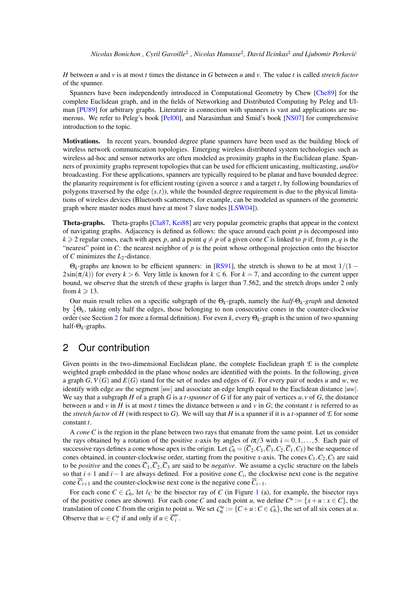*H* between *u* and *v* is at most *t* times the distance in *G* between *u* and *v*. The value *t* is called *stretch factor* of the spanner.

Spanners have been independently introduced in Computational Geometry by Chew [\[Che89\]](#page-4-3) for the complete Euclidean graph, and in the fields of Networking and Distributed Computing by Peleg and Ul-man [\[PU89\]](#page-4-4) for arbitrary graphs. Literature in connection with spanners is vast and applications are numerous. We refer to Peleg's book [\[Pel00\]](#page-4-5), and Narasimhan and Smid's book [\[NS07\]](#page-4-6) for comprehensive introduction to the topic.

Motivations. In recent years, bounded degree plane spanners have been used as the building block of wireless network communication topologies. Emerging wireless distributed system technologies such as wireless ad-hoc and sensor networks are often modeled as proximity graphs in the Euclidean plane. Spanners of proximity graphs represent topologies that can be used for efficient unicasting, multicasting, *and/or* broadcasting. For these applications, spanners are typically required to be planar and have bounded degree: the planarity requirement is for efficient routing (given a source *s* and a target *t*, by following boundaries of polygons traversed by the edge  $(s,t)$ ), while the bounded degree requirement is due to the physical limitations of wireless devices (Bluetooth scatternets, for example, can be modeled as spanners of the geometric graph where master nodes must have at most 7 slave nodes [\[LSW04\]](#page-4-7)).

Theta-graphs. Theta-graphs [\[Cla87,](#page-4-8) [Kei88\]](#page-4-9) are very popular geometric graphs that appear in the context of navigating graphs. Adjacency is defined as follows: the space around each point *p* is decomposed into  $k \ge 2$  regular cones, each with apex p, and a point  $q \ne p$  of a given cone C is linked to p if, from p, q is the "nearest" point in *C*: the nearest neighbor of *p* is the point whose orthogonal projection onto the bisector of *C* minimizes the *L*2-distance.

 $\Theta_k$ -graphs are known to be efficient spanners: in [\[RS91\]](#page-4-10), the stretch is shown to be at most  $1/(1 2\sin(\pi/k)$  for every  $k > 6$ . Very little is known for  $k \le 6$ . For  $k = 7$ , and according to the current upper bound, we observe that the stretch of these graphs is larger than 7.562, and the stretch drops under 2 only from  $k \ge 13$ .

Our main result relies on a specific subgraph of the Θ*k*-graph, namely the *half-*Θ*k-graph* and denoted by  $\frac{1}{2}\Theta_k$ , taking only half the edges, those belonging to non consecutive cones in the counter-clockwise order (see Section [2](#page-2-0) for more a formal definition). For even *k*, every Θ*k*-graph is the union of two spanning half-Θ*k*-graphs.

#### <span id="page-2-0"></span>2 Our contribution

Given points in the two-dimensional Euclidean plane, the complete Euclidean graph  $E$  is the complete weighted graph embedded in the plane whose nodes are identified with the points. In the following, given a graph *G*,  $V(G)$  and  $E(G)$  stand for the set of nodes and edges of *G*. For every pair of nodes *u* and *w*, we identify with edge *uw* the segment [*uw*] and associate an edge length equal to the Euclidean distance |*uw*|. We say that a subgraph *H* of a graph *G* is a *t-spanner* of *G* if for any pair of vertices *u*,*v* of *G*, the distance between *u* and *v* in *H* is at most *t* times the distance between *u* and *v* in *G*; the constant *t* is referred to as the *stretch factor* of *H* (with respect to *G*). We will say that *H* is a spanner if it is a *t*-spanner of  $E$  for some constant *t*.

A *cone C* is the region in the plane between two rays that emanate from the same point. Let us consider the rays obtained by a rotation of the positive *x*-axis by angles of  $i\pi/3$  with  $i = 0, 1, \ldots, 5$ . Each pair of successive rays defines a cone whose apex is the origin. Let  $\mathcal{C}_6 = (\overline{C}_2, C_1, \overline{C}_3, C_2, \overline{C}_1, C_3)$  be the sequence of cones obtained, in counter-clockwise order, starting from the positive *x*-axis. The cones  $C_1$ ,  $C_2$ ,  $C_3$  are said to be *positive* and the cones  $\overline{C}_1$ ,  $\overline{C}_2$ ,  $\overline{C}_3$  are said to be *negative*. We assume a cyclic structure on the labels so that  $i+1$  and  $i-1$  are always defined. For a positive cone  $C_i$ , the clockwise next cone is the negative cone  $\overline{C}_{i+1}$  and the counter-clockwise next cone is the negative cone  $\overline{C}_{i-1}$ .

For each cone  $C \in C_6$ , let  $\ell_c$  be the bisector ray of *C* (in Figure [1](#page-3-0) (a), for example, the bisector rays of the positive cones are shown). For each cone *C* and each point *u*, we define  $C^u := \{x + u : x \in C\}$ , the translation of cone *C* from the origin to point *u*. We set  $C_6^u := \{C + u : C \in C_6\}$ , the set of all six cones at *u*. Observe that  $w \in C_i^u$  if and only if  $u \in \overline{C_i^w}$ *i* .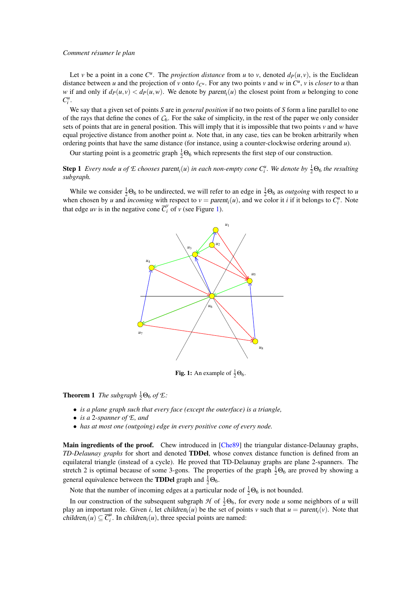#### *Comment résumer le plan*

Let *v* be a point in a cone  $C^u$ . The *projection distance* from *u* to *v*, denoted  $d_P(u, v)$ , is the Euclidean distance between *u* and the projection of *v* onto  $\ell_{C^u}$ . For any two points *v* and *w* in  $C^u$ , *v* is *closer* to *u* than *w* if and only if  $d_P(u, v) < d_P(u, w)$ . We denote by parent<sub>*i*</sub> $(u)$  the closest point from *u* belonging to cone  $C_i^u$ .

We say that a given set of points *S* are in *general position* if no two points of *S* form a line parallel to one of the rays that define the cones of  $C_6$ . For the sake of simplicity, in the rest of the paper we only consider sets of points that are in general position. This will imply that it is impossible that two points *v* and *w* have equal projective distance from another point *u*. Note that, in any case, ties can be broken arbitrarily when ordering points that have the same distance (for instance, using a counter-clockwise ordering around *u*).

Our starting point is a geometric graph  $\frac{1}{2}\Theta_6$  which represents the first step of our construction.

**Step 1** Every node u of  $E$  chooses parent<sub>i</sub> $(u)$  in each non-empty cone  $C_i^u$ . We denote by  $\frac{1}{2}\Theta_6$  the resulting *subgraph.*

While we consider  $\frac{1}{2}\Theta_6$  to be undirected, we will refer to an edge in  $\frac{1}{2}\Theta_6$  as *outgoing* with respect to *u* when chosen by *u* and *incoming* with respect to  $v = parent_i(u)$ , and we color it *i* if it belongs to  $C_i^u$ . Note that edge *uv* is in the negative cone  $\overline{C}_i^v$  of *v* (see Figure [1\)](#page-3-0).



<span id="page-3-0"></span>**Fig. 1:** An example of  $\frac{1}{2}\Theta_6$ .

**Theorem 1** *The subgraph*  $\frac{1}{2}\Theta_6$  *of*  $\mathcal{E}$ *:* 

- *is a plane graph such that every face (except the outerface) is a triangle,*
- *is a* 2*-spanner of E, and*
- *has at most one (outgoing) edge in every positive cone of every node.*

Main ingredients of the proof. Chew introduced in [\[Che89\]](#page-4-3) the triangular distance-Delaunay graphs, *TD-Delaunay graphs* for short and denoted TDDel, whose convex distance function is defined from an equilateral triangle (instead of a cycle). He proved that TD-Delaunay graphs are plane 2-spanners. The stretch 2 is optimal because of some 3-gons. The properties of the graph  $\frac{1}{2}\Theta_6$  are proved by showing a general equivalence between the **TDDel** graph and  $\frac{1}{2}\Theta_6$ .

Note that the number of incoming edges at a particular node of  $\frac{1}{2}\Theta_6$  is not bounded.

In our construction of the subsequent subgraph  $H$  of  $\frac{1}{2}\Theta_6$ , for every node *u* some neighbors of *u* will play an important role. Given *i*, let children<sub>*i*</sub>(*u*) be the set of points *v* such that  $u = parent_i(v)$ . Note that children<sub>i</sub> $(u) \subseteq \overline{C}_i^u$  $i<sup>u</sup>$ . In *children<sub>i</sub>*(*u*), three special points are named: